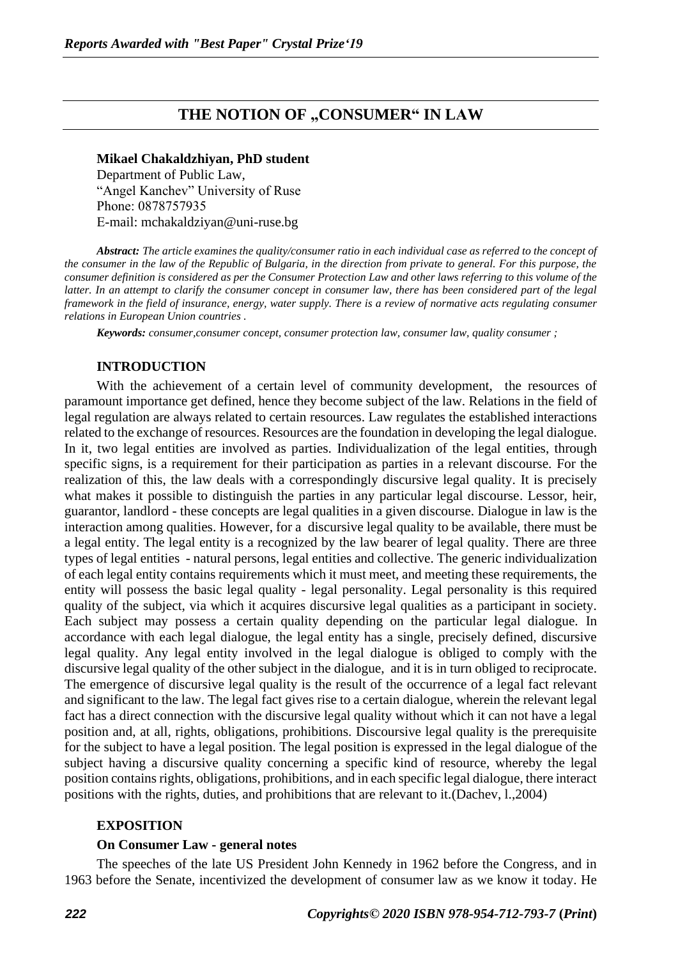# **THE NOTION OF "CONSUMER" IN LAW**

## **Mikael Chakaldzhiyan, PhD student**

Department of Public Law, "Angel Kanchev" University of Ruse Рhone: 0878757935 Е-mail: mchakaldziyan@uni-ruse.bg

*Abstract: The article examines the quality/consumer ratio in each individual case as referred to the concept of the consumer in the law of the Republic of Bulgaria, in the direction from private to general. For this purpose, the consumer definition is considered as per the Consumer Protection Law and other laws referring to this volume of the latter. In an attempt to clarify the consumer concept in consumer law, there has been considered part of the legal framework in the field of insurance, energy, water supply. There is a review of normative acts regulating consumer relations in European Union countries .*

*Keywords: consumer,consumer concept, consumer protection law, consumer law, quality consumer ;*

#### **INTRODUCTION**

With the achievement of a certain level of community development, the resources of paramount importance get defined, hence they become subject of the law. Relations in the field of legal regulation are always related to certain resources. Law regulates the established interactions related to the exchange of resources. Resources are the foundation in developing the legal dialogue. In it, two legal entities are involved as parties. Individualization of the legal entities, through specific signs, is a requirement for their participation as parties in a relevant discourse. For the realization of this, the law deals with a correspondingly discursive legal quality. It is precisely what makes it possible to distinguish the parties in any particular legal discourse. Lessor, heir, guarantor, landlord - these concepts are legal qualities in a given discourse. Dialogue in law is the interaction among qualities. However, for a discursive legal quality to be available, there must be a legal entity. The legal entity is a recognized by the law bearer of legal quality. There are three types of legal entities - natural persons, legal entities and collective. The generic individualization of each legal entity contains requirements which it must meet, and meeting these requirements, the entity will possess the basic legal quality - legal personality. Legal personality is this required quality of the subject, via which it acquires discursive legal qualities as a participant in society. Each subject may possess a certain quality depending on the particular legal dialogue. In accordance with each legal dialogue, the legal entity has a single, precisely defined, discursive legal quality. Any legal entity involved in the legal dialogue is obliged to comply with the discursive legal quality of the other subject in the dialogue, and it is in turn obliged to reciprocate. The emergence of discursive legal quality is the result of the occurrence of a legal fact relevant and significant to the law. The legal fact gives rise to a certain dialogue, wherein the relevant legal fact has a direct connection with the discursive legal quality without which it can not have a legal position and, at all, rights, obligations, prohibitions. Discoursive legal quality is the prerequisite for the subject to have a legal position. The legal position is expressed in the legal dialogue of the subject having a discursive quality concerning a specific kind of resource, whereby the legal position contains rights, obligations, prohibitions, and in each specific legal dialogue, there interact positions with the rights, duties, and prohibitions that are relevant to it.(Dachev, l.,2004)

#### **EXPOSITION**

#### **On Consumer Law - general notes**

The speeches of the late US President John Kennedy in 1962 before the Congress, and in 1963 before the Senate, incentivized the development of consumer law as we know it today. He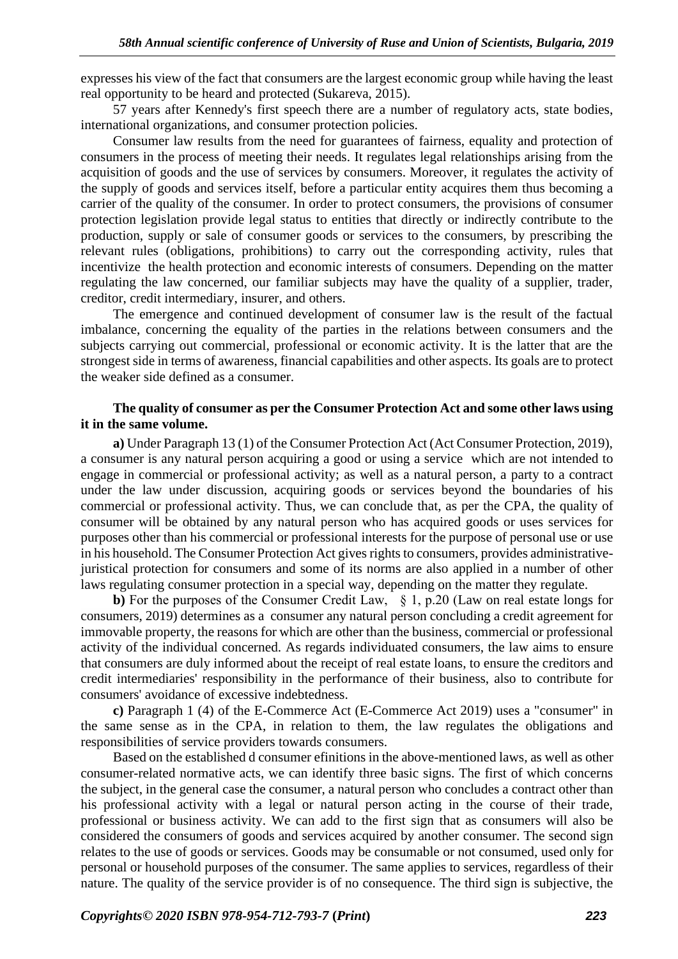expresses his view of the fact that consumers are the largest economic group while having the least real opportunity to be heard and protected (Sukareva, 2015).

57 years after Kennedy's first speech there are a number of regulatory acts, state bodies, international organizations, and consumer protection policies.

Consumer law results from the need for guarantees of fairness, equality and protection of consumers in the process of meeting their needs. It regulates legal relationships arising from the acquisition of goods and the use of services by consumers. Moreover, it regulates the activity of the supply of goods and services itself, before a particular entity acquires them thus becoming a carrier of the quality of the consumer. In order to protect consumers, the provisions of consumer protection legislation provide legal status to entities that directly or indirectly contribute to the production, supply or sale of consumer goods or services to the consumers, by prescribing the relevant rules (obligations, prohibitions) to carry out the corresponding activity, rules that incentivize the health protection and economic interests of consumers. Depending on the matter regulating the law concerned, our familiar subjects may have the quality of a supplier, trader, creditor, credit intermediary, insurer, and others.

The emergence and continued development of consumer law is the result of the factual imbalance, concerning the equality of the parties in the relations between consumers and the subjects carrying out commercial, professional or economic activity. It is the latter that are the strongest side in terms of awareness, financial capabilities and other aspects. Its goals are to protect the weaker side defined as a consumer.

### **The quality of consumer as per the Consumer Protection Act and some other laws using it in the same volume.**

**a)** Under Paragraph 13 (1) of the Consumer Protection Act (Act Consumer Protection, 2019), a consumer is any natural person acquiring a good or using a service which are not intended to engage in commercial or professional activity; as well as a natural person, a party to a contract under the law under discussion, acquiring goods or services beyond the boundaries of his commercial or professional activity. Thus, we can conclude that, as per the CPA, the quality of consumer will be obtained by any natural person who has acquired goods or uses services for purposes other than his commercial or professional interests for the purpose of personal use or use in his household. The Consumer Protection Act gives rights to consumers, provides administrativejuristical protection for consumers and some of its norms are also applied in a number of other laws regulating consumer protection in a special way, depending on the matter they regulate.

**b)** For the purposes of the Consumer Credit Law, § 1, p.20 (Law on real estate longs for consumers, 2019) determines as a consumer any natural person concluding a credit agreement for immovable property, the reasons for which are other than the business, commercial or professional activity of the individual concerned. As regards individuated consumers, the law aims to ensure that consumers are duly informed about the receipt of real estate loans, to ensure the creditors and credit intermediaries' responsibility in the performance of their business, also to contribute for consumers' avoidance of excessive indebtedness.

**c)** Paragraph 1 (4) of the E-Commerce Act (E-Commerce Act 2019) uses a "consumer" in the same sense as in the CPA, in relation to them, the law regulates the obligations and responsibilities of service providers towards consumers.

Based on the established d consumer efinitions in the above-mentioned laws, as well as other consumer-related normative acts, we can identify three basic signs. The first of which concerns the subject, in the general case the consumer, a natural person who concludes a contract other than his professional activity with a legal or natural person acting in the course of their trade, professional or business activity. We can add to the first sign that as consumers will also be considered the consumers of goods and services acquired by another consumer. The second sign relates to the use of goods or services. Goods may be consumable or not consumed, used only for personal or household purposes of the consumer. The same applies to services, regardless of their nature. The quality of the service provider is of no consequence. The third sign is subjective, the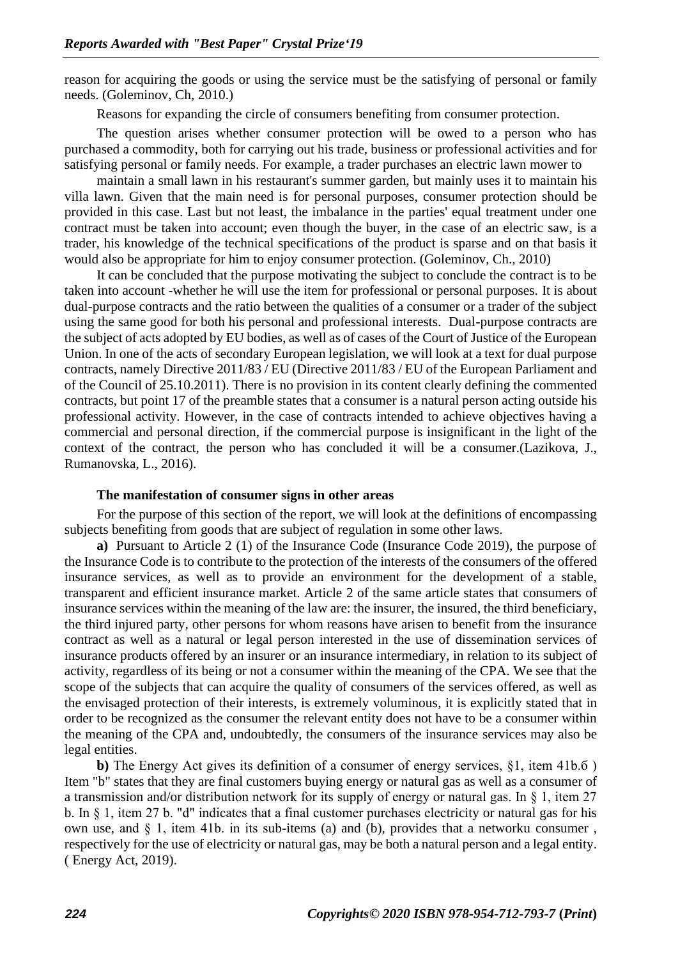reason for acquiring the goods or using the service must be the satisfying of personal or family needs. (Goleminov, Ch, 2010.)

Reasons for expanding the circle of consumers benefiting from consumer protection.

The question arises whether consumer protection will be owed to a person who has purchased a commodity, both for carrying out his trade, business or professional activities and for satisfying personal or family needs. For example, a trader purchases an electric lawn mower to

maintain a small lawn in his restaurant's summer garden, but mainly uses it to maintain his villa lawn. Given that the main need is for personal purposes, consumer protection should be provided in this case. Last but not least, the imbalance in the parties' equal treatment under one contract must be taken into account; even though the buyer, in the case of an electric saw, is a trader, his knowledge of the technical specifications of the product is sparse and on that basis it would also be appropriate for him to enjoy consumer protection. (Goleminov, Ch., 2010)

It can be concluded that the purpose motivating the subject to conclude the contract is to be taken into account -whether he will use the item for professional or personal purposes. It is about dual-purpose contracts and the ratio between the qualities of a consumer or a trader of the subject using the same good for both his personal and professional interests. Dual-purpose contracts are the subject of acts adopted by EU bodies, as well as of cases of the Court of Justice of the European Union. In one of the acts of secondary European legislation, we will look at a text for dual purpose contracts, namely Directive 2011/83 / EU (Directive 2011/83 / EU of the European Parliament and of the Council of 25.10.2011). There is no provision in its content clearly defining the commented contracts, but point 17 of the preamble states that a consumer is a natural person acting outside his professional activity. However, in the case of contracts intended to achieve objectives having a commercial and personal direction, if the commercial purpose is insignificant in the light of the context of the contract, the person who has concluded it will be a consumer.(Lazikova, J., Rumanovska, L., 2016).

#### **The manifestation of consumer signs in other areas**

For the purpose of this section of the report, we will look at the definitions of encompassing subjects benefiting from goods that are subject of regulation in some other laws.

**a)** Pursuant to Article 2 (1) of the Insurance Code (Insurance Code 2019), the purpose of the Insurance Code is to contribute to the protection of the interests of the consumers of the offered insurance services, as well as to provide an environment for the development of a stable, transparent and efficient insurance market. Article 2 of the same article states that consumers of insurance services within the meaning of the law are: the insurer, the insured, the third beneficiary, the third injured party, other persons for whom reasons have arisen to benefit from the insurance contract as well as a natural or legal person interested in the use of dissemination services of insurance products offered by an insurer or an insurance intermediary, in relation to its subject of activity, regardless of its being or not a consumer within the meaning of the CPA. We see that the scope of the subjects that can acquire the quality of consumers of the services offered, as well as the envisaged protection of their interests, is extremely voluminous, it is explicitly stated that in order to be recognized as the consumer the relevant entity does not have to be a consumer within the meaning of the CPA and, undoubtedly, the consumers of the insurance services may also be legal entities.

**b)** The Energy Act gives its definition of a consumer of energy services, §1, item 41b.б ) Item "b" states that they are final customers buying energy or natural gas as well as a consumer of a transmission and/or distribution network for its supply of energy or natural gas. In § 1, item 27 b. In § 1, item 27 b. "d" indicates that a final customer purchases electricity or natural gas for his own use, and  $\S$  1, item 41b. in its sub-items (a) and (b), provides that a networku consumer, respectively for the use of electricity or natural gas, may be both a natural person and a legal entity. ( Energy Act, 2019).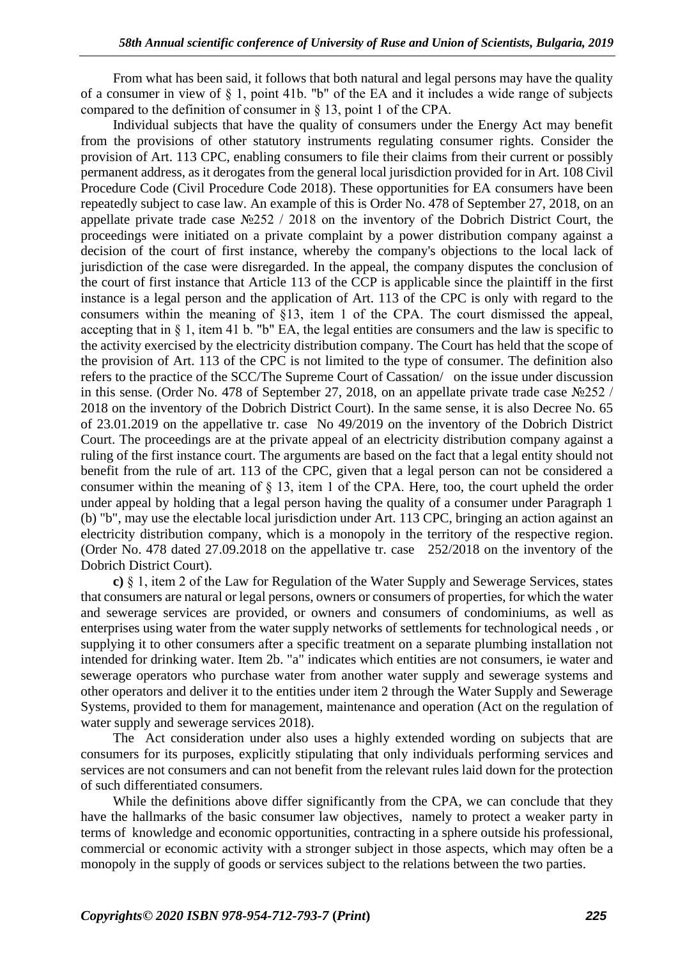From what has been said, it follows that both natural and legal persons may have the quality of a consumer in view of § 1, point 41b. "b" of the EA and it includes a wide range of subjects compared to the definition of consumer in § 13, point 1 of the CPА.

Individual subjects that have the quality of consumers under the Energy Act may benefit from the provisions of other statutory instruments regulating consumer rights. Consider the provision of Art. 113 CPC, enabling consumers to file their claims from their current or possibly permanent address, as it derogates from the general local jurisdiction provided for in Art. 108 Civil Procedure Code (Civil Procedure Code 2018). These opportunities for EA consumers have been repeatedly subject to case law. An example of this is Order No. 478 of September 27, 2018, on an appellate private trade case №252 / 2018 on the inventory of the Dobrich District Court, the proceedings were initiated on a private complaint by a power distribution company against a decision of the court of first instance, whereby the company's objections to the local lack of jurisdiction of the case were disregarded. In the appeal, the company disputes the conclusion of the court of first instance that Article 113 of the CCP is applicable since the plaintiff in the first instance is a legal person and the application of Art. 113 of the CPC is only with regard to the consumers within the meaning of §13, item 1 of the CPA. The court dismissed the appeal, accepting that in § 1, item 41 b. "b" EA, the legal entities are consumers and the law is specific to the activity exercised by the electricity distribution company. The Court has held that the scope of the provision of Art. 113 of the CPC is not limited to the type of consumer. The definition also refers to the practice of the SCC/The Supreme Court of Cassation/ on the issue under discussion in this sense. (Order No. 478 of September 27, 2018, on an appellate private trade case №252 / 2018 on the inventory of the Dobrich District Court). In the same sense, it is also Decree No. 65 of 23.01.2019 on the appellative tr. case No 49/2019 on the inventory of the Dobrich District Court. The proceedings are at the private appeal of an electricity distribution company against a ruling of the first instance court. The arguments are based on the fact that a legal entity should not benefit from the rule of art. 113 of the CPC, given that a legal person can not be considered a consumer within the meaning of § 13, item 1 of the CPA. Here, too, the court upheld the order under appeal by holding that a legal person having the quality of a consumer under Paragraph 1 (b) "b", may use the electable local jurisdiction under Art. 113 CPC, bringing an action against an electricity distribution company, which is a monopoly in the territory of the respective region. (Order No. 478 dated 27.09.2018 on the appellative tr. case 252/2018 on the inventory of the Dobrich District Court).

**c)** § 1, item 2 of the Law for Regulation of the Water Supply and Sewerage Services, states that consumers are natural or legal persons, owners or consumers of properties, for which the water and sewerage services are provided, or owners and consumers of condominiums, as well as enterprises using water from the water supply networks of settlements for technological needs , or supplying it to other consumers after a specific treatment on a separate plumbing installation not intended for drinking water. Item 2b. "a" indicates which entities are not consumers, ie water and sewerage operators who purchase water from another water supply and sewerage systems and other operators and deliver it to the entities under item 2 through the Water Supply and Sewerage Systems, provided to them for management, maintenance and operation (Act on the regulation of water supply and sewerage services 2018).

The Act consideration under also uses a highly extended wording on subjects that are consumers for its purposes, explicitly stipulating that only individuals performing services and services are not consumers and can not benefit from the relevant rules laid down for the protection of such differentiated consumers.

While the definitions above differ significantly from the CPA, we can conclude that they have the hallmarks of the basic consumer law objectives, namely to protect a weaker party in terms of knowledge and economic opportunities, contracting in a sphere outside his professional, commercial or economic activity with a stronger subject in those aspects, which may often be a monopoly in the supply of goods or services subject to the relations between the two parties.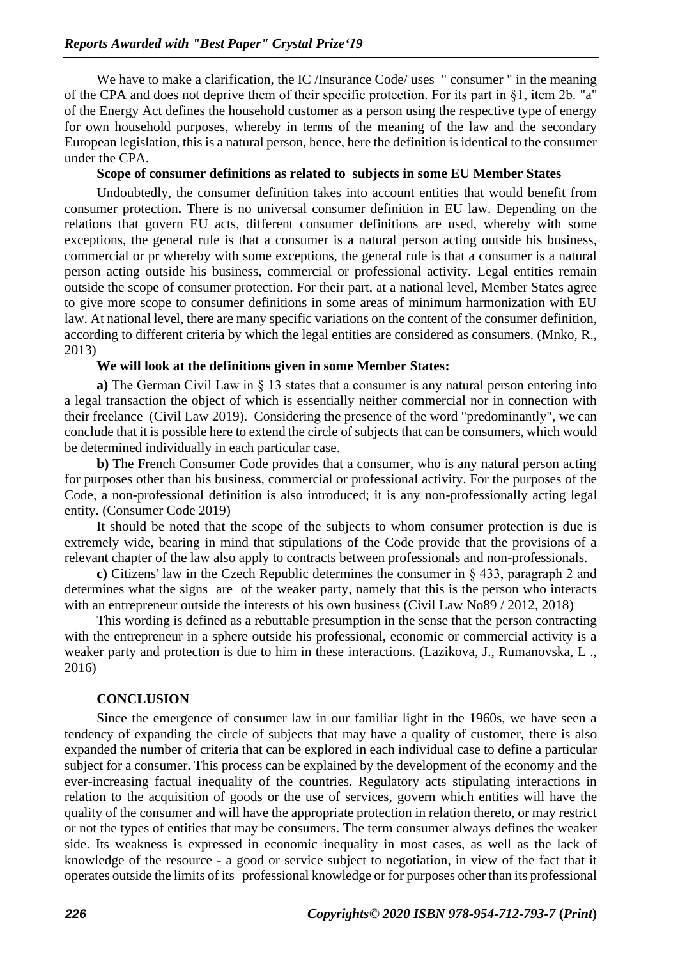We have to make a clarification, the IC /Insurance Code/ uses " consumer " in the meaning of the CPA and does not deprive them of their specific protection. For its part in §1, item 2b. "a" of the Energy Act defines the household customer as a person using the respective type of energy for own household purposes, whereby in terms of the meaning of the law and the secondary European legislation, this is a natural person, hence, here the definition is identical to the consumer under the CPA.

### **Scope of consumer definitions as related to subjects in some EU Member States**

Undoubtedly, the consumer definition takes into account entities that would benefit from consumer protection**.** There is no universal consumer definition in EU law. Depending on the relations that govern EU acts, different consumer definitions are used, whereby with some exceptions, the general rule is that a consumer is a natural person acting outside his business, commercial or pr whereby with some exceptions, the general rule is that a consumer is a natural person acting outside his business, commercial or professional activity. Legal entities remain outside the scope of consumer protection. For their part, at a national level, Member States agree to give more scope to consumer definitions in some areas of minimum harmonization with EU law. At national level, there are many specific variations on the content of the consumer definition, according to different criteria by which the legal entities are considered as consumers. (Mnko, R., 2013)

### **We will look at the definitions given in some Member States:**

**a)** The German Civil Law in § 13 states that a consumer is any natural person entering into a legal transaction the object of which is essentially neither commercial nor in connection with their freelance (Civil Law 2019).Considering the presence of the word "predominantly", we can conclude that it is possible here to extend the circle of subjects that can be consumers, which would be determined individually in each particular case.

**b)** The French Consumer Code provides that a consumer, who is any natural person acting for purposes other than his business, commercial or professional activity. For the purposes of the Code, a non-professional definition is also introduced; it is any non-professionally acting legal entity. (Consumer Code 2019)

It should be noted that the scope of the subjects to whom consumer protection is due is extremely wide, bearing in mind that stipulations of the Code provide that the provisions of a relevant chapter of the law also apply to contracts between professionals and non-professionals.

**c)** Citizens' law in the Czech Republic determines the consumer in § 433, paragraph 2 and determines what the signs are of the weaker party, namely that this is the person who interacts with an entrepreneur outside the interests of his own business (Civil Law No89 / 2012, 2018)

This wording is defined as a rebuttable presumption in the sense that the person contracting with the entrepreneur in a sphere outside his professional, economic or commercial activity is a weaker party and protection is due to him in these interactions. (Lazikova, J., Rumanovska, L ., 2016)

#### **CONCLUSION**

Since the emergence of consumer law in our familiar light in the 1960s, we have seen a tendency of expanding the circle of subjects that may have a quality of customer, there is also expanded the number of criteria that can be explored in each individual case to define a particular subject for a consumer. This process can be explained by the development of the economy and the ever-increasing factual inequality of the countries. Regulatory acts stipulating interactions in relation to the acquisition of goods or the use of services, govern which entities will have the quality of the consumer and will have the appropriate protection in relation thereto, or may restrict or not the types of entities that may be consumers. The term consumer always defines the weaker side. Its weakness is expressed in economic inequality in most cases, as well as the lack of knowledge of the resource - a good or service subject to negotiation, in view of the fact that it operates outside the limits of its professional knowledge or for purposes other than its professional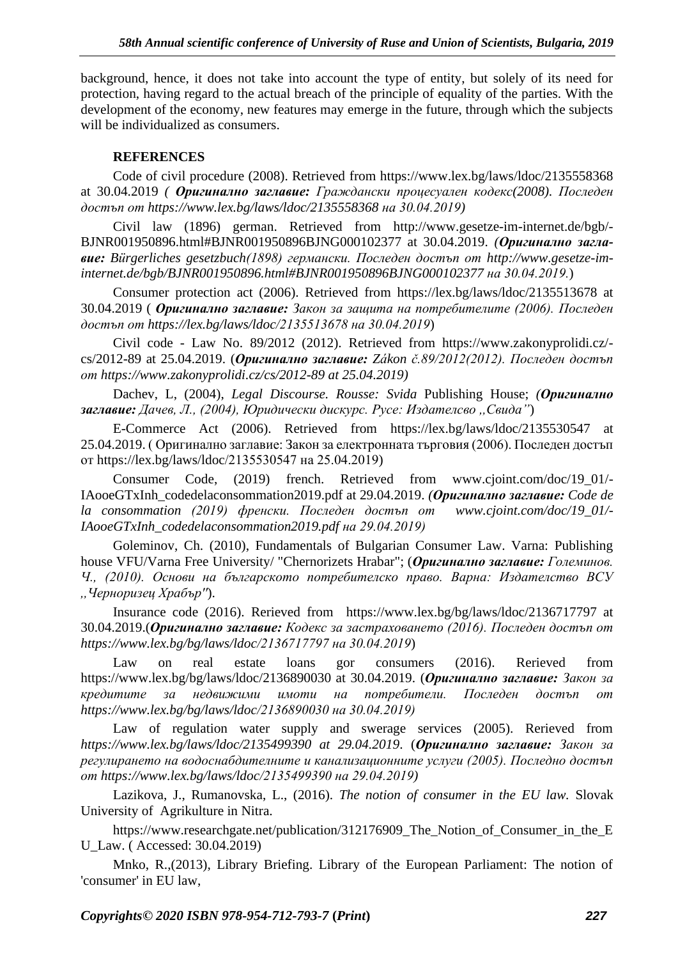background, hence, it does not take into account the type of entity, but solely of its need for protection, having regard to the actual breach of the principle of equality of the parties. With the development of the economy, new features may emerge in the future, through which the subjects will be individualized as consumers.

### **REFERENCES**

Code of civil procedure (2008). Retrieved from https://www.lex.bg/laws/ldoc/2135558368 at 30.04.2019 *( Оригинално заглавие: Граждански процесуален кодекс(2008). Последен достъп от [https://www.lex.bg/laws/ldoc/2135558368](https://www.lex.bg/laws/ldoc/2135558368%20на%2030.04.2019) на 30.04.2019)*

Civil law (1896) german. Retrieved from http://www.gesetze-im-internet.de/bgb/- BJNR001950896.html#BJNR001950896BJNG000102377 at 30.04.2019. *(Оригинално заглавие: Bürgerliches gesetzbuch(1898) германски. Последен достъп от [http://www.gesetze-im](http://www.gesetze-im-internet.de/bgb/BJNR001950896.html#BJNR001950896BJNG000102377)[internet.de/bgb/BJNR001950896.html#BJNR001950896BJNG000102377](http://www.gesetze-im-internet.de/bgb/BJNR001950896.html#BJNR001950896BJNG000102377) на 30.04.2019.*)

Consumer protection act (2006). Retrieved from <https://lex.bg/laws/ldoc/2135513678> at 30.04.2019 ( *Оригинално заглавие: Закон за защита на потребителите (2006). Последен достъп от [https://lex.bg/laws/ldoc/2135513678 на 30.04.2019](https://lex.bg/laws/ldoc/2135513678%20на%2030.04.2019)*)

Civil code - Law No. 89/2012 (2012). Retrieved from https://www.zakonyprolidi.cz/ cs/2012-89 at 25.04.2019. (*Оригинално заглавие: Zákon č.89/2012(2012). Последен достъп от [https://www.zakonyprolidi.cz/cs/2012-89 at](https://www.zakonyprolidi.cz/cs/2012-89%20at%2025.04.2019) 25.04.2019)*

Dachev, L, (2004), *Legal Discourse. Rousse: Svida* Publishing House; *(Оригинално заглавие: Дачев, Л., (2004), Юридически дискурс. Русе: Издателсво ,,Свида"*)

E-Commerce Act (2006). Retrieved from <https://lex.bg/laws/ldoc/2135530547> at 25.04.2019. ( Оригинално заглавие: Закон за електронната търговия (2006). Последен достъп от [https://lex.bg/laws/ldoc/2135530547 на 25.04.2019\)](https://lex.bg/laws/ldoc/2135530547%20на%2025.04.2019)

Consumer Code, (2019) french. Retrieved from www.cjoint.com/doc/19\_01/- IAooeGTxInh\_codedelaconsommation2019.pdf at 29.04.2019. *(Оригинално заглавие: Code de la consommation (2019) френски. Последен достъп от www.cjoint.com/doc/19\_01/- IAooeGTxInh\_codedelaconsommation2019.pdf на 29.04.2019)*

Goleminov, Ch. (2010), Fundamentals of Bulgarian Consumer Law. Varna: Publishing house VFU/Varna Free University/ "Chernorizets Hrabar"; (*Оригинално заглавие: Големинов. Ч., (2010). Основи на българското потребителско право. Варна: Издателство ВСУ ,,Черноризец Храбър''*).

Insurance code (2016). Rerieved from <https://www.lex.bg/bg/laws/ldoc/2136717797> at 30.04.2019.(*Оригинално заглавие: Кодекс за застраховането (2016). Последен достъп от [https://www.lex.bg/bg/laws/ldoc/2136717797 на 30.04.2019](https://www.lex.bg/bg/laws/ldoc/2136717797%20на%2030.04.2019)*)

Law on real estate loans gor consumers (2016). Rerieved from [https://www.lex.bg/bg/laws/ldoc/2136890030 at 30.04.2019.](https://www.lex.bg/bg/laws/ldoc/2136890030%20at%2030.04.2019) (*Оригинално заглавие: Закон за кредитите за недвижими имоти на потребители. Последен достъп от https://www.lex.bg/bg/laws/ldoc/2136890030 на 30.04.2019)*

Law of regulation water supply and swerage services (2005). Rerieved from *[https://www.lex.bg/laws/ldoc/2135499390 at 29.04.2019](https://www.lex.bg/laws/ldoc/2135499390%20at%2029.04.2019)*. (*Оригинално заглавие: Закон за регулирането на водоснабдителните и канализационните услуги (2005). Последно достъп от [https://www.lex.bg/laws/ldoc/2135499390 на 29.04.2019\)](https://www.lex.bg/laws/ldoc/2135499390%20на%2029.04.2019)* 

Lazikova, J., Rumanovska, L., (2016). *The notion of consumer in the EU law.* Slovak University of Agrikulture in Nitra.

https://www.researchgate.net/publication/312176909\_The\_Notion\_of\_Consumer\_in\_the\_E U\_Law. ( Accessed: 30.04.2019)

Mnko, R.,(2013), Library Briefing. Library of the European Parliament: The notion of 'consumer' in EU law,